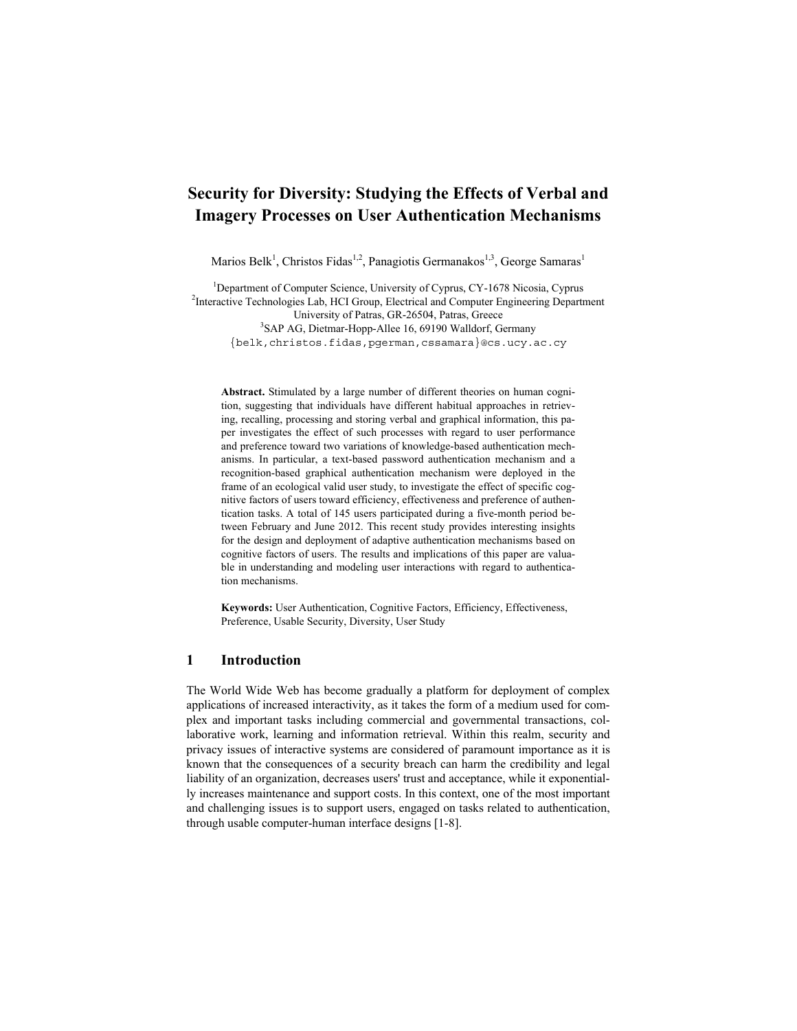# **Security for Diversity: Studying the Effects of Verbal and Imagery Processes on User Authentication Mechanisms**

Marios Belk<sup>1</sup>, Christos Fidas<sup>1,2</sup>, Panagiotis Germanakos<sup>1,3</sup>, George Samaras<sup>1</sup>

<sup>1</sup>Department of Computer Science, University of Cyprus, CY-1678 Nicosia, Cyprus<br><sup>2</sup>Interactive Technologies Leb, HCJ Group, Electrical and Computer Engineering Departm <sup>2</sup>Interactive Technologies Lab, HCI Group, Electrical and Computer Engineering Department University of Patras, GR-26504, Patras, Greece 3 <sup>3</sup>SAP AG, Dietmar-Hopp-Allee 16, 69190 Walldorf, Germany

{belk,christos.fidas,pgerman,cssamara}@cs.ucy.ac.cy

**Abstract.** Stimulated by a large number of different theories on human cognition, suggesting that individuals have different habitual approaches in retrieving, recalling, processing and storing verbal and graphical information, this paper investigates the effect of such processes with regard to user performance and preference toward two variations of knowledge-based authentication mechanisms. In particular, a text-based password authentication mechanism and a recognition-based graphical authentication mechanism were deployed in the frame of an ecological valid user study, to investigate the effect of specific cognitive factors of users toward efficiency, effectiveness and preference of authentication tasks. A total of 145 users participated during a five-month period between February and June 2012. This recent study provides interesting insights for the design and deployment of adaptive authentication mechanisms based on cognitive factors of users. The results and implications of this paper are valuable in understanding and modeling user interactions with regard to authentication mechanisms.

**Keywords:** User Authentication, Cognitive Factors, Efficiency, Effectiveness, Preference, Usable Security, Diversity, User Study

### **1 Introduction**

The World Wide Web has become gradually a platform for deployment of complex applications of increased interactivity, as it takes the form of a medium used for complex and important tasks including commercial and governmental transactions, collaborative work, learning and information retrieval. Within this realm, security and privacy issues of interactive systems are considered of paramount importance as it is known that the consequences of a security breach can harm the credibility and legal liability of an organization, decreases users' trust and acceptance, while it exponentially increases maintenance and support costs. In this context, one of the most important and challenging issues is to support users, engaged on tasks related to authentication, through usable computer-human interface designs [1-8].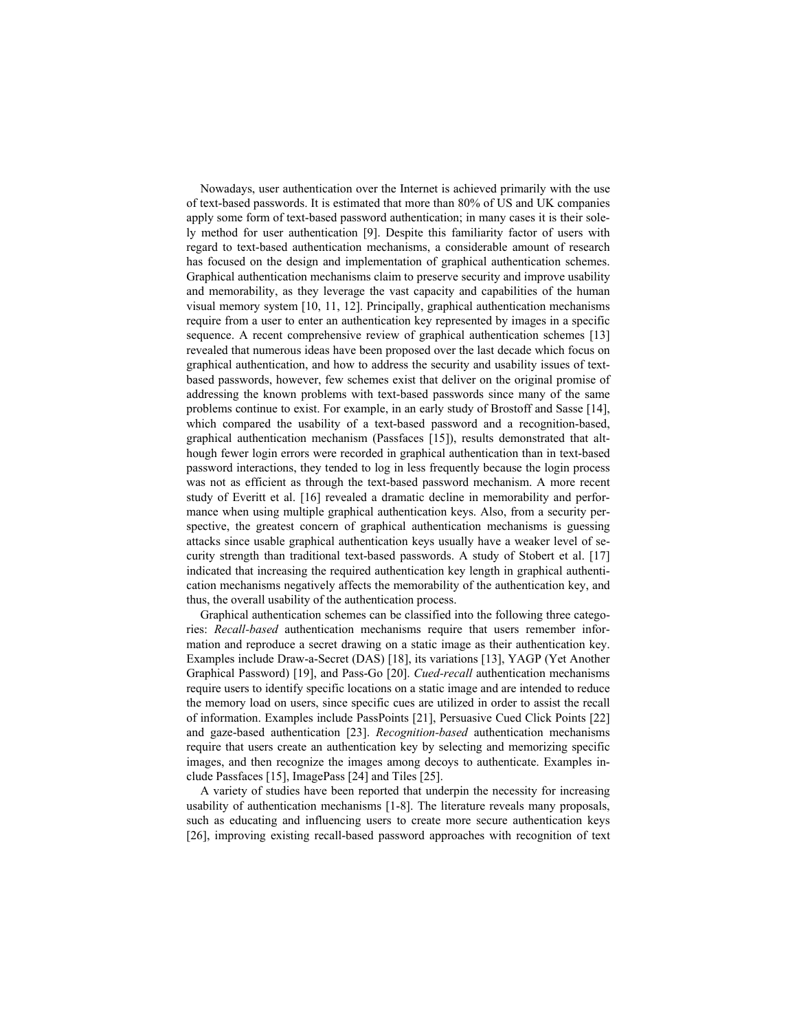Nowadays, user authentication over the Internet is achieved primarily with the use of text-based passwords. It is estimated that more than 80% of US and UK companies apply some form of text-based password authentication; in many cases it is their solely method for user authentication [9]. Despite this familiarity factor of users with regard to text-based authentication mechanisms, a considerable amount of research has focused on the design and implementation of graphical authentication schemes. Graphical authentication mechanisms claim to preserve security and improve usability and memorability, as they leverage the vast capacity and capabilities of the human visual memory system [10, 11, 12]. Principally, graphical authentication mechanisms require from a user to enter an authentication key represented by images in a specific sequence. A recent comprehensive review of graphical authentication schemes [13] revealed that numerous ideas have been proposed over the last decade which focus on graphical authentication, and how to address the security and usability issues of textbased passwords, however, few schemes exist that deliver on the original promise of addressing the known problems with text-based passwords since many of the same problems continue to exist. For example, in an early study of Brostoff and Sasse [14], which compared the usability of a text-based password and a recognition-based, graphical authentication mechanism (Passfaces [15]), results demonstrated that although fewer login errors were recorded in graphical authentication than in text-based password interactions, they tended to log in less frequently because the login process was not as efficient as through the text-based password mechanism. A more recent study of Everitt et al. [16] revealed a dramatic decline in memorability and performance when using multiple graphical authentication keys. Also, from a security perspective, the greatest concern of graphical authentication mechanisms is guessing attacks since usable graphical authentication keys usually have a weaker level of security strength than traditional text-based passwords. A study of Stobert et al. [17] indicated that increasing the required authentication key length in graphical authentication mechanisms negatively affects the memorability of the authentication key, and thus, the overall usability of the authentication process.

Graphical authentication schemes can be classified into the following three categories: *Recall-based* authentication mechanisms require that users remember information and reproduce a secret drawing on a static image as their authentication key. Examples include Draw-a-Secret (DAS) [18], its variations [13], YAGP (Yet Another Graphical Password) [19], and Pass-Go [20]. *Cued-recall* authentication mechanisms require users to identify specific locations on a static image and are intended to reduce the memory load on users, since specific cues are utilized in order to assist the recall of information. Examples include PassPoints [21], Persuasive Cued Click Points [22] and gaze-based authentication [23]. *Recognition-based* authentication mechanisms require that users create an authentication key by selecting and memorizing specific images, and then recognize the images among decoys to authenticate. Examples include Passfaces [15], ImagePass [24] and Tiles [25].

A variety of studies have been reported that underpin the necessity for increasing usability of authentication mechanisms [1-8]. The literature reveals many proposals, such as educating and influencing users to create more secure authentication keys [26], improving existing recall-based password approaches with recognition of text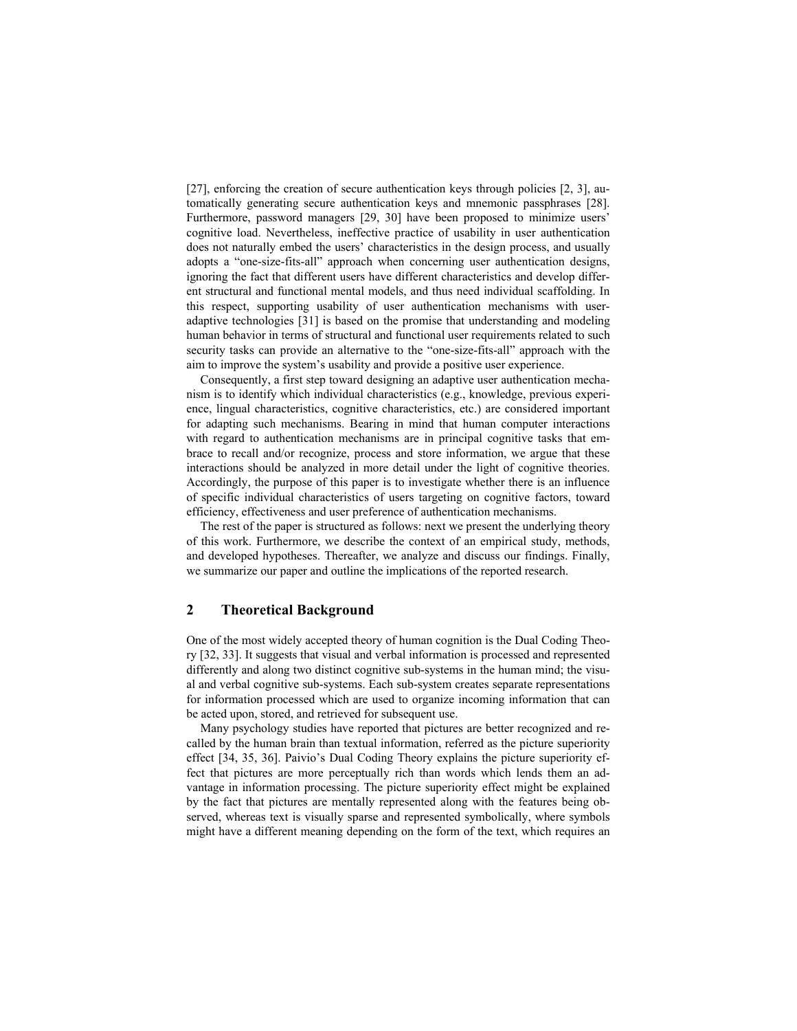[27], enforcing the creation of secure authentication keys through policies [2, 3], automatically generating secure authentication keys and mnemonic passphrases [28]. Furthermore, password managers [29, 30] have been proposed to minimize users' cognitive load. Nevertheless, ineffective practice of usability in user authentication does not naturally embed the users' characteristics in the design process, and usually adopts a "one-size-fits-all" approach when concerning user authentication designs, ignoring the fact that different users have different characteristics and develop different structural and functional mental models, and thus need individual scaffolding. In this respect, supporting usability of user authentication mechanisms with useradaptive technologies [31] is based on the promise that understanding and modeling human behavior in terms of structural and functional user requirements related to such security tasks can provide an alternative to the "one-size-fits-all" approach with the aim to improve the system's usability and provide a positive user experience.

Consequently, a first step toward designing an adaptive user authentication mechanism is to identify which individual characteristics (e.g., knowledge, previous experience, lingual characteristics, cognitive characteristics, etc.) are considered important for adapting such mechanisms. Bearing in mind that human computer interactions with regard to authentication mechanisms are in principal cognitive tasks that embrace to recall and/or recognize, process and store information, we argue that these interactions should be analyzed in more detail under the light of cognitive theories. Accordingly, the purpose of this paper is to investigate whether there is an influence of specific individual characteristics of users targeting on cognitive factors, toward efficiency, effectiveness and user preference of authentication mechanisms.

The rest of the paper is structured as follows: next we present the underlying theory of this work. Furthermore, we describe the context of an empirical study, methods, and developed hypotheses. Thereafter, we analyze and discuss our findings. Finally, we summarize our paper and outline the implications of the reported research.

# **2 Theoretical Background**

One of the most widely accepted theory of human cognition is the Dual Coding Theory [32, 33]. It suggests that visual and verbal information is processed and represented differently and along two distinct cognitive sub-systems in the human mind; the visual and verbal cognitive sub-systems. Each sub-system creates separate representations for information processed which are used to organize incoming information that can be acted upon, stored, and retrieved for subsequent use.

Many psychology studies have reported that pictures are better recognized and recalled by the human brain than textual information, referred as the picture superiority effect [34, 35, 36]. Paivio's Dual Coding Theory explains the picture superiority effect that pictures are more perceptually rich than words which lends them an advantage in information processing. The picture superiority effect might be explained by the fact that pictures are mentally represented along with the features being observed, whereas text is visually sparse and represented symbolically, where symbols might have a different meaning depending on the form of the text, which requires an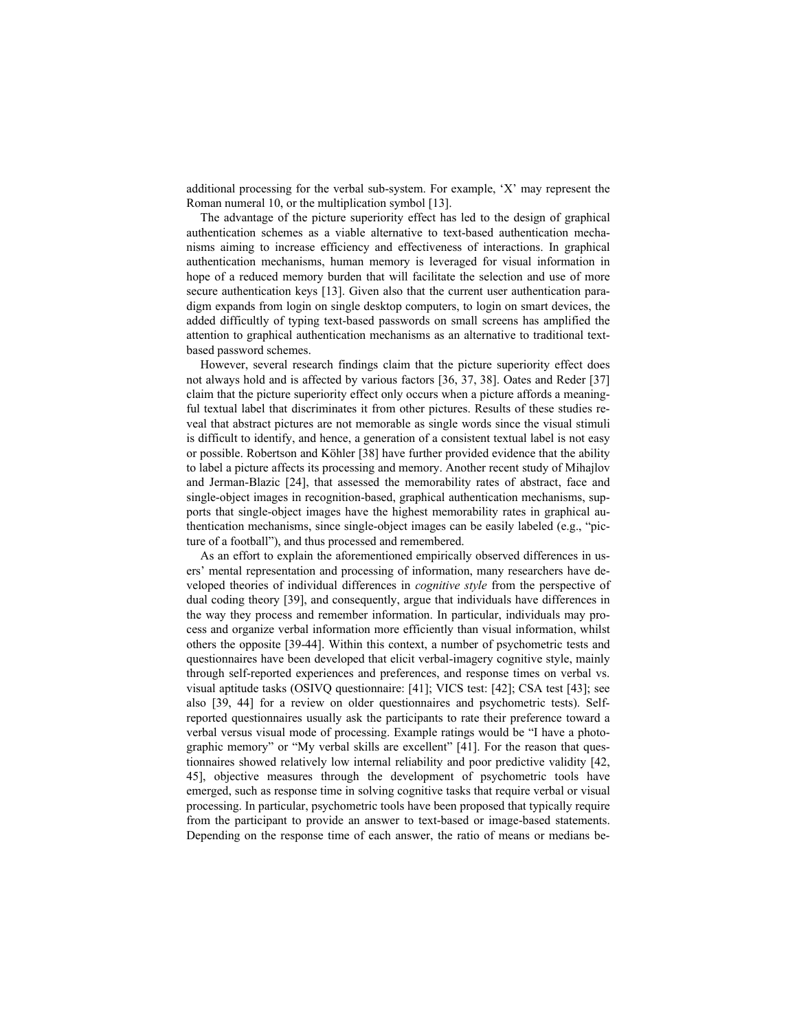additional processing for the verbal sub-system. For example, 'X' may represent the Roman numeral 10, or the multiplication symbol [13].

The advantage of the picture superiority effect has led to the design of graphical authentication schemes as a viable alternative to text-based authentication mechanisms aiming to increase efficiency and effectiveness of interactions. In graphical authentication mechanisms, human memory is leveraged for visual information in hope of a reduced memory burden that will facilitate the selection and use of more secure authentication keys [13]. Given also that the current user authentication paradigm expands from login on single desktop computers, to login on smart devices, the added difficultly of typing text-based passwords on small screens has amplified the attention to graphical authentication mechanisms as an alternative to traditional textbased password schemes.

However, several research findings claim that the picture superiority effect does not always hold and is affected by various factors [36, 37, 38]. Oates and Reder [37] claim that the picture superiority effect only occurs when a picture affords a meaningful textual label that discriminates it from other pictures. Results of these studies reveal that abstract pictures are not memorable as single words since the visual stimuli is difficult to identify, and hence, a generation of a consistent textual label is not easy or possible. Robertson and Köhler [38] have further provided evidence that the ability to label a picture affects its processing and memory. Another recent study of Mihajlov and Jerman-Blazic [24], that assessed the memorability rates of abstract, face and single-object images in recognition-based, graphical authentication mechanisms, supports that single-object images have the highest memorability rates in graphical authentication mechanisms, since single-object images can be easily labeled (e.g., "picture of a football"), and thus processed and remembered.

As an effort to explain the aforementioned empirically observed differences in users' mental representation and processing of information, many researchers have developed theories of individual differences in *cognitive style* from the perspective of dual coding theory [39], and consequently, argue that individuals have differences in the way they process and remember information. In particular, individuals may process and organize verbal information more efficiently than visual information, whilst others the opposite [39-44]. Within this context, a number of psychometric tests and questionnaires have been developed that elicit verbal-imagery cognitive style, mainly through self-reported experiences and preferences, and response times on verbal vs. visual aptitude tasks (OSIVQ questionnaire: [41]; VICS test: [42]; CSA test [43]; see also [39, 44] for a review on older questionnaires and psychometric tests). Selfreported questionnaires usually ask the participants to rate their preference toward a verbal versus visual mode of processing. Example ratings would be "I have a photographic memory" or "My verbal skills are excellent" [41]. For the reason that questionnaires showed relatively low internal reliability and poor predictive validity [42, 45], objective measures through the development of psychometric tools have emerged, such as response time in solving cognitive tasks that require verbal or visual processing. In particular, psychometric tools have been proposed that typically require from the participant to provide an answer to text-based or image-based statements. Depending on the response time of each answer, the ratio of means or medians be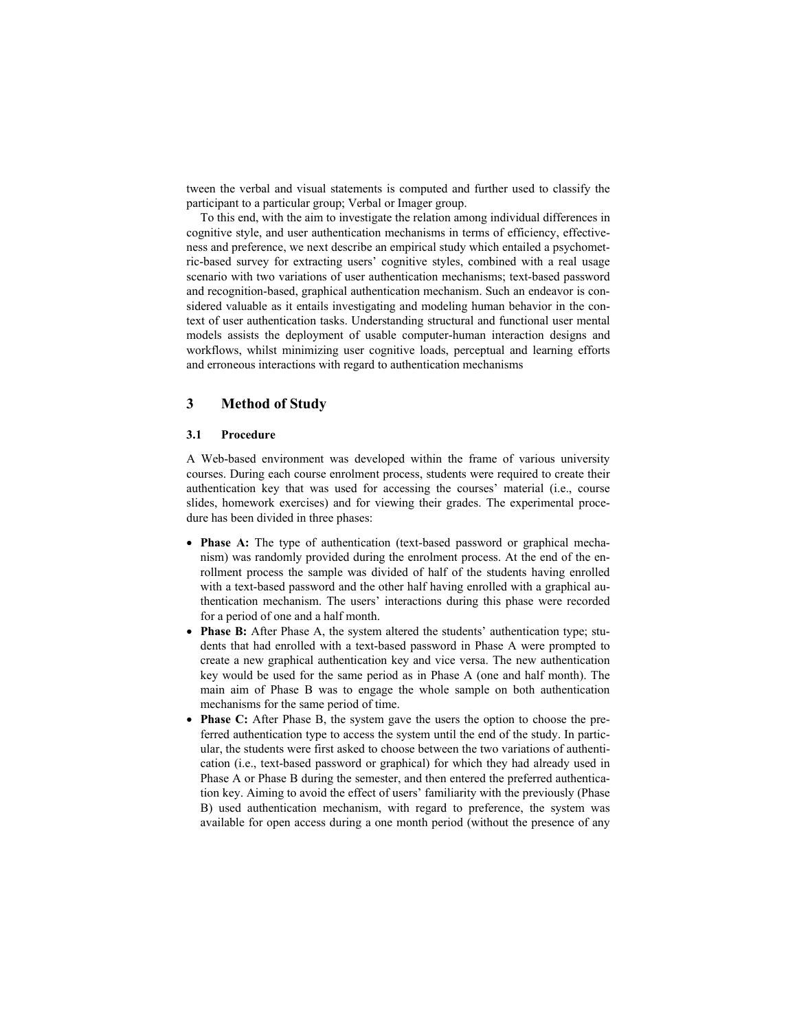tween the verbal and visual statements is computed and further used to classify the participant to a particular group; Verbal or Imager group.

To this end, with the aim to investigate the relation among individual differences in cognitive style, and user authentication mechanisms in terms of efficiency, effectiveness and preference, we next describe an empirical study which entailed a psychometric-based survey for extracting users' cognitive styles, combined with a real usage scenario with two variations of user authentication mechanisms; text-based password and recognition-based, graphical authentication mechanism. Such an endeavor is considered valuable as it entails investigating and modeling human behavior in the context of user authentication tasks. Understanding structural and functional user mental models assists the deployment of usable computer-human interaction designs and workflows, whilst minimizing user cognitive loads, perceptual and learning efforts and erroneous interactions with regard to authentication mechanisms

## **3 Method of Study**

#### **3.1 Procedure**

A Web-based environment was developed within the frame of various university courses. During each course enrolment process, students were required to create their authentication key that was used for accessing the courses' material (i.e., course slides, homework exercises) and for viewing their grades. The experimental procedure has been divided in three phases:

- **Phase A:** The type of authentication (text-based password or graphical mechanism) was randomly provided during the enrolment process. At the end of the enrollment process the sample was divided of half of the students having enrolled with a text-based password and the other half having enrolled with a graphical authentication mechanism. The users' interactions during this phase were recorded for a period of one and a half month.
- **Phase B:** After Phase A, the system altered the students' authentication type; students that had enrolled with a text-based password in Phase A were prompted to create a new graphical authentication key and vice versa. The new authentication key would be used for the same period as in Phase A (one and half month). The main aim of Phase B was to engage the whole sample on both authentication mechanisms for the same period of time.
- **Phase C:** After Phase B, the system gave the users the option to choose the preferred authentication type to access the system until the end of the study. In particular, the students were first asked to choose between the two variations of authentication (i.e., text-based password or graphical) for which they had already used in Phase A or Phase B during the semester, and then entered the preferred authentication key. Aiming to avoid the effect of users' familiarity with the previously (Phase B) used authentication mechanism, with regard to preference, the system was available for open access during a one month period (without the presence of any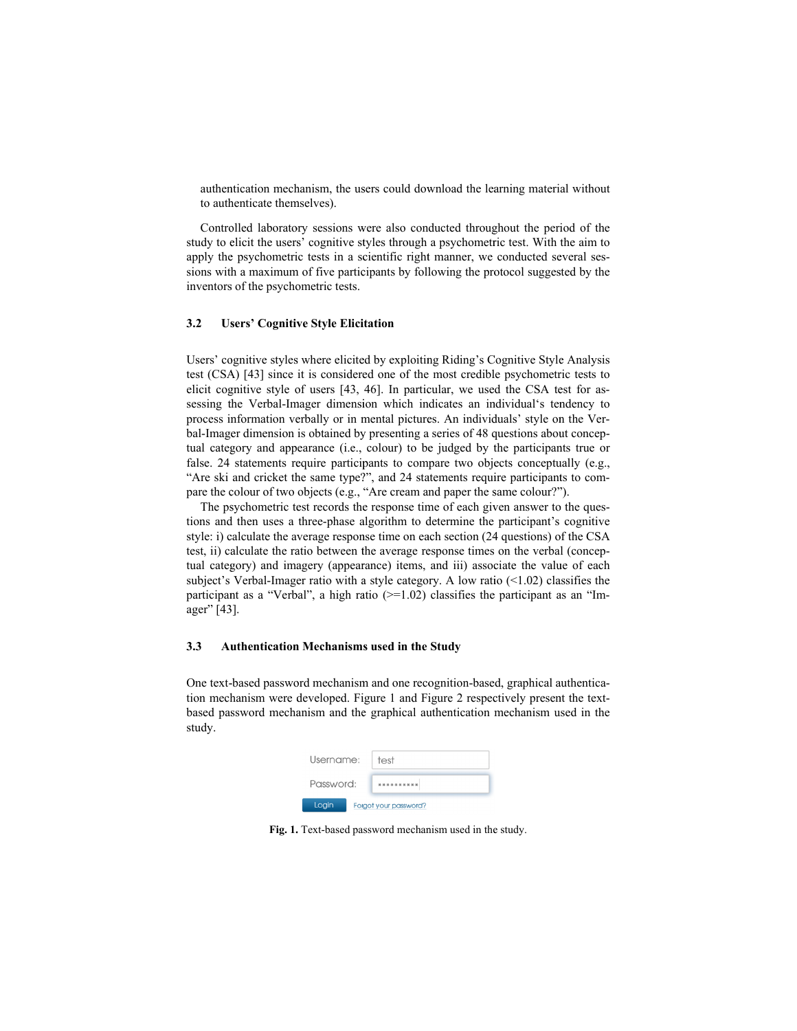authentication mechanism, the users could download the learning material without to authenticate themselves).

Controlled laboratory sessions were also conducted throughout the period of the study to elicit the users' cognitive styles through a psychometric test. With the aim to apply the psychometric tests in a scientific right manner, we conducted several sessions with a maximum of five participants by following the protocol suggested by the inventors of the psychometric tests.

#### $3.2$ **Users' Cognitive Style Elicitation**

Users' cognitive styles where elicited by exploiting Riding's Cognitive Style Analysis test (CSA) [43] since it is considered one of the most credible psychometric tests to elicit cognitive style of users [43, 46]. In particular, we used the CSA test for assessing the Verbal-Imager dimension which indicates an individual's tendency to process information verbally or in mental pictures. An individuals' style on the Verbal-Imager dimension is obtained by presenting a series of 48 questions about conceptual category and appearance (i.e., colour) to be judged by the participants true or false. 24 statements require participants to compare two objects conceptually (e.g., "Are ski and cricket the same type?", and 24 statements require participants to compare the colour of two objects (e.g., "Are cream and paper the same colour?").

The psychometric test records the response time of each given answer to the questions and then uses a three-phase algorithm to determine the participant's cognitive style: i) calculate the average response time on each section (24 questions) of the CSA test, ii) calculate the ratio between the average response times on the verbal (conceptual category) and imagery (appearance) items, and iii) associate the value of each subject's Verbal-Imager ratio with a style category. A low ratio  $(1.02)$  classifies the participant as a "Verbal", a high ratio  $(>=1.02)$  classifies the participant as an "Imager" [43].

#### $3.3$ **Authentication Mechanisms used in the Study**

One text-based password mechanism and one recognition-based, graphical authentication mechanism were developed. Figure 1 and Figure 2 respectively present the textbased password mechanism and the graphical authentication mechanism used in the study.

| Username: |  | test                  |
|-----------|--|-----------------------|
| Password: |  |                       |
| Login     |  | Forgot your password? |

Fig. 1. Text-based password mechanism used in the study.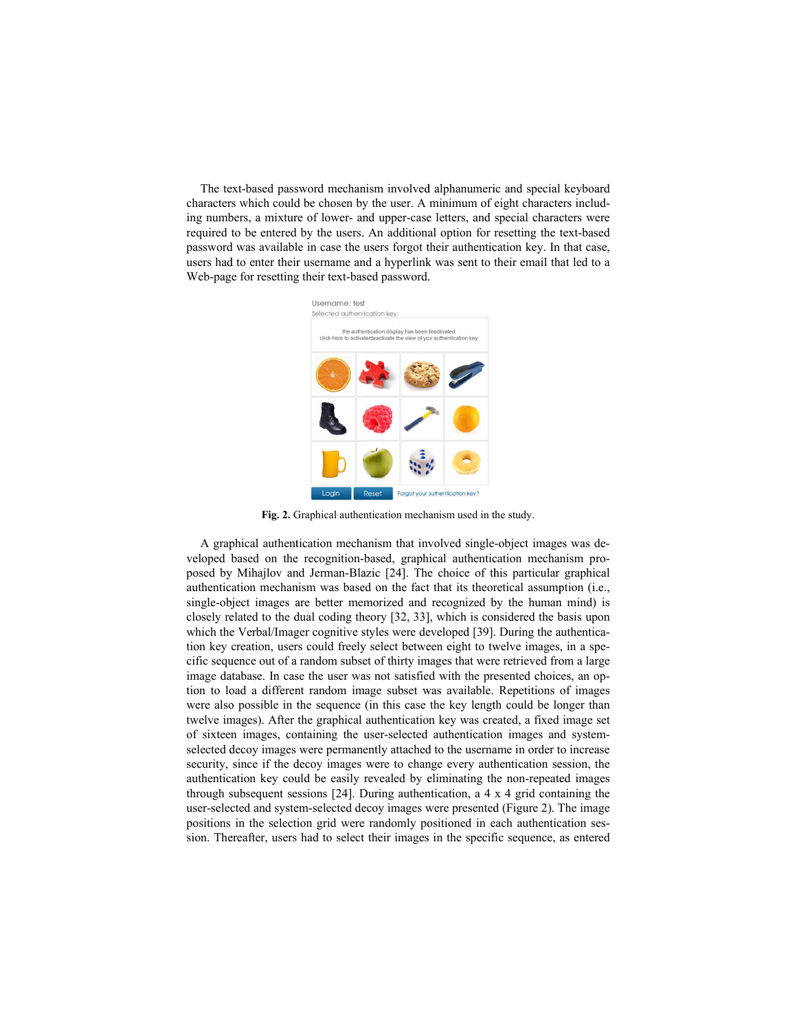The text-based password mechanism involved alphanumeric and special keyboard characters which could be chosen by the user. A minimum of eight characters including numbers, a mixture of lower- and upper-case letters, and special characters were required to be entered by the users. An additional option for resetting the text-based password was available in case the users forgot their authentication key. In that case, users had to enter their username and a hyperlink was sent to their email that led to a Web-page for resetting their text-based password.



Fig. 2. Graphical authentication mechanism used in the study.

A graphical authentication mechanism that involved single-object images was developed based on the recognition-based, graphical authentication mechanism proposed by Mihajlov and Jerman-Blazic [24]. The choice of this particular graphical authentication mechanism was based on the fact that its theoretical assumption (i.e., single-object images are better memorized and recognized by the human mind) is closely related to the dual coding theory [32, 33], which is considered the basis upon which the Verbal/Imager cognitive styles were developed [39]. During the authentication key creation, users could freely select between eight to twelve images, in a specific sequence out of a random subset of thirty images that were retrieved from a large image database. In case the user was not satisfied with the presented choices, an option to load a different random image subset was available. Repetitions of images were also possible in the sequence (in this case the key length could be longer than twelve images). After the graphical authentication key was created, a fixed image set of sixteen images, containing the user-selected authentication images and systemselected decoy images were permanently attached to the username in order to increase security, since if the decoy images were to change every authentication session, the authentication key could be easily revealed by eliminating the non-repeated images through subsequent sessions  $[24]$ . During authentication, a 4 x 4 grid containing the user-selected and system-selected decoy images were presented (Figure 2). The image positions in the selection grid were randomly positioned in each authentication session. Thereafter, users had to select their images in the specific sequence, as entered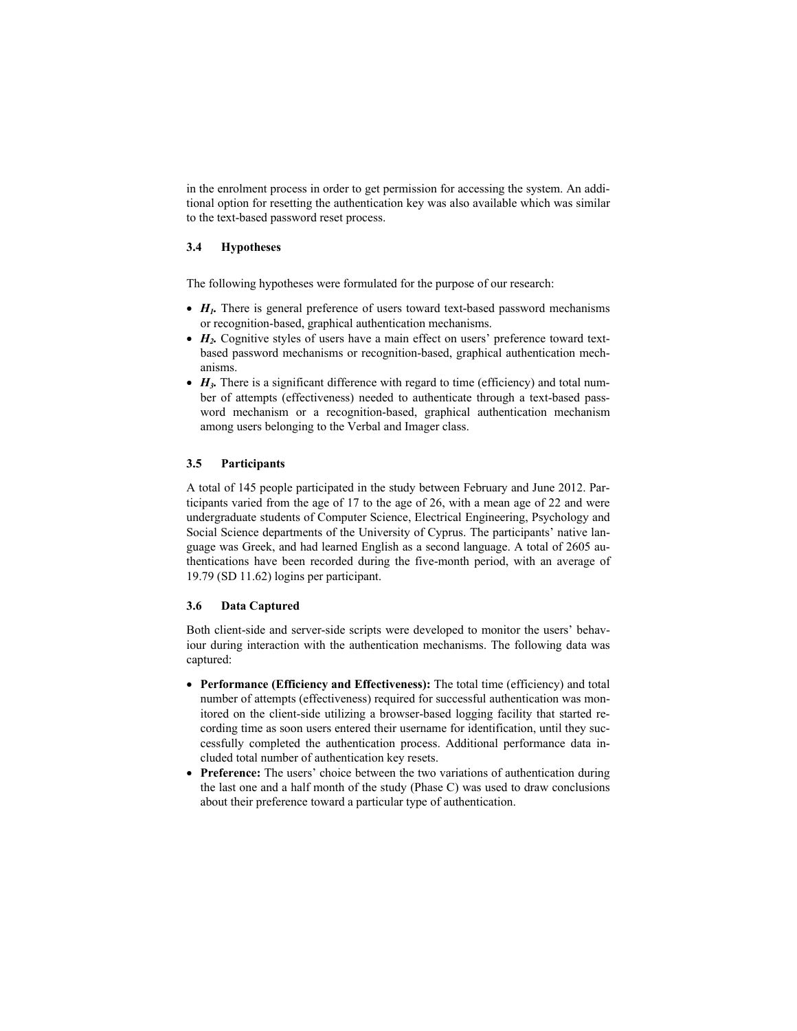in the enrolment process in order to get permission for accessing the system. An additional option for resetting the authentication key was also available which was similar to the text-based password reset process.

### **3.4 Hypotheses**

The following hypotheses were formulated for the purpose of our research:

- $\bullet$   $H_1$ . There is general preference of users toward text-based password mechanisms or recognition-based, graphical authentication mechanisms.
- $H_2$ . Cognitive styles of users have a main effect on users' preference toward textbased password mechanisms or recognition-based, graphical authentication mechanisms.
- $H_3$ . There is a significant difference with regard to time (efficiency) and total number of attempts (effectiveness) needed to authenticate through a text-based password mechanism or a recognition-based, graphical authentication mechanism among users belonging to the Verbal and Imager class.

### **3.5 Participants**

A total of 145 people participated in the study between February and June 2012. Participants varied from the age of 17 to the age of 26, with a mean age of 22 and were undergraduate students of Computer Science, Electrical Engineering, Psychology and Social Science departments of the University of Cyprus. The participants' native language was Greek, and had learned English as a second language. A total of 2605 authentications have been recorded during the five-month period, with an average of 19.79 (SD 11.62) logins per participant.

### **3.6 Data Captured**

Both client-side and server-side scripts were developed to monitor the users' behaviour during interaction with the authentication mechanisms. The following data was captured:

- **Performance (Efficiency and Effectiveness):** The total time (efficiency) and total number of attempts (effectiveness) required for successful authentication was monitored on the client-side utilizing a browser-based logging facility that started recording time as soon users entered their username for identification, until they successfully completed the authentication process. Additional performance data included total number of authentication key resets.
- **Preference:** The users' choice between the two variations of authentication during the last one and a half month of the study (Phase C) was used to draw conclusions about their preference toward a particular type of authentication.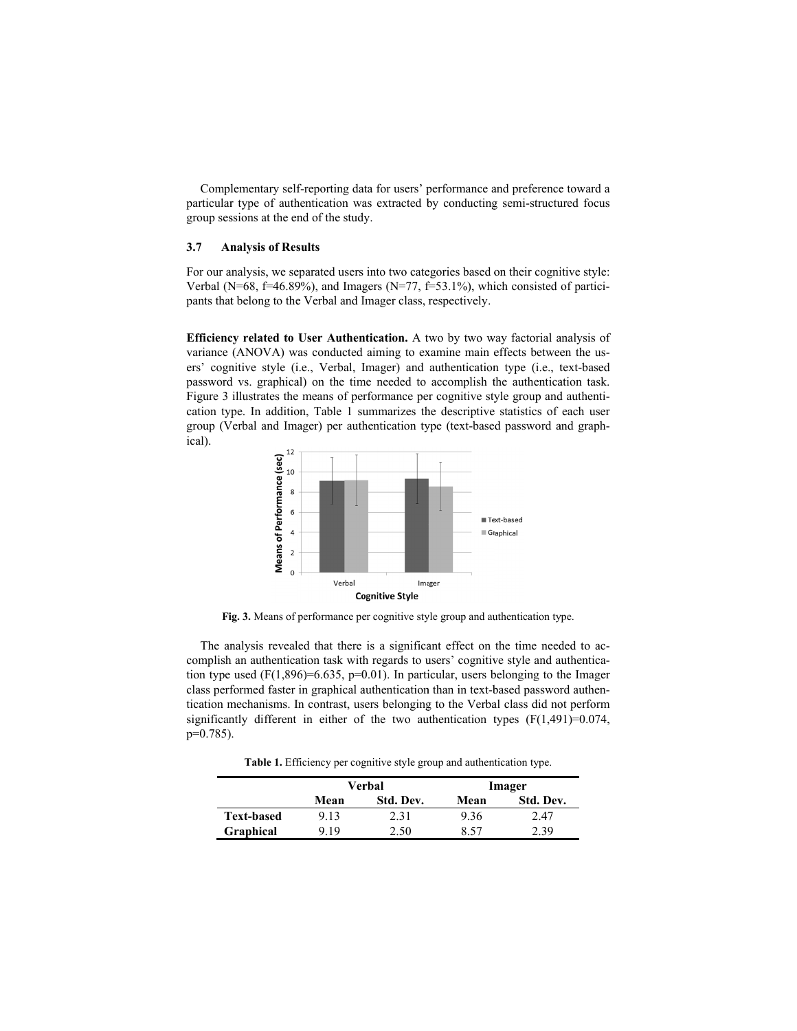Complementary self-reporting data for users' performance and preference toward a particular type of authentication was extracted by conducting semi-structured focus group sessions at the end of the study.

#### $3.7$ **Analysis of Results**

For our analysis, we separated users into two categories based on their cognitive style: Verbal (N=68, f=46.89%), and Imagers (N=77, f=53.1%), which consisted of participants that belong to the Verbal and Imager class, respectively.

Efficiency related to User Authentication. A two by two way factorial analysis of variance (ANOVA) was conducted aiming to examine main effects between the users' cognitive style (*i.e.*, Verbal, Imager) and authentication type (*i.e.*, text-based password vs. graphical) on the time needed to accomplish the authentication task. Figure 3 illustrates the means of performance per cognitive style group and authentication type. In addition, Table 1 summarizes the descriptive statistics of each user group (Verbal and Imager) per authentication type (text-based password and graphical).



Fig. 3. Means of performance per cognitive style group and authentication type.

The analysis revealed that there is a significant effect on the time needed to accomplish an authentication task with regards to users' cognitive style and authentication type used  $(F(1,896)=6.635, p=0.01)$ . In particular, users belonging to the Imager class performed faster in graphical authentication than in text-based password authentication mechanisms. In contrast, users belonging to the Verbal class did not perform significantly different in either of the two authentication types  $(F(1,491)=0.074,$  $p=0.785$ ).

Table 1. Efficiency per cognitive style group and authentication type.

|                   | Verbal |           | Imager |           |
|-------------------|--------|-----------|--------|-----------|
|                   | Mean   | Std. Dev. | Mean   | Std. Dev. |
| <b>Text-based</b> | 9.13   | 2.31      | 9.36   | 2.47      |
| <b>Graphical</b>  | 919    | 2.50      | 8.57   | .39       |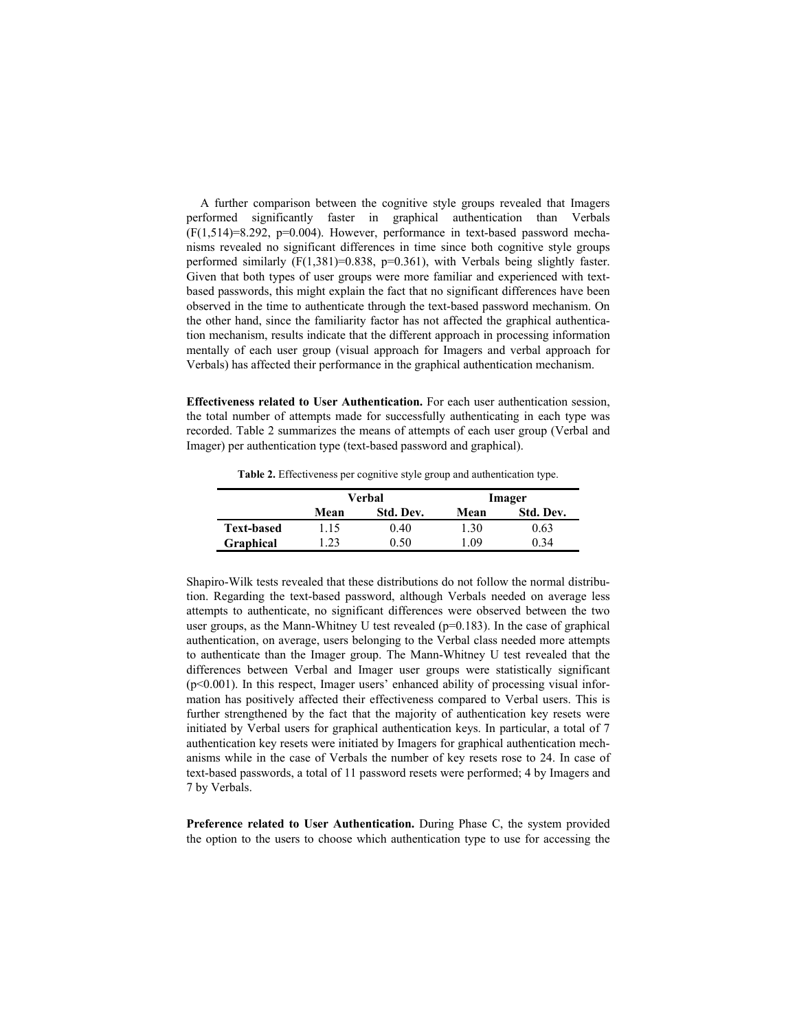A further comparison between the cognitive style groups revealed that Imagers performed significantly faster in graphical authentication than Verbals  $(F(1,514)=8.292, p=0.004)$ . However, performance in text-based password mechanisms revealed no significant differences in time since both cognitive style groups performed similarly  $(F(1,381)=0.838, p=0.361)$ , with Verbals being slightly faster. Given that both types of user groups were more familiar and experienced with textbased passwords, this might explain the fact that no significant differences have been observed in the time to authenticate through the text-based password mechanism. On the other hand, since the familiarity factor has not affected the graphical authentication mechanism, results indicate that the different approach in processing information mentally of each user group (visual approach for Imagers and verbal approach for Verbals) has affected their performance in the graphical authentication mechanism.

**Effectiveness related to User Authentication.** For each user authentication session, the total number of attempts made for successfully authenticating in each type was recorded. Table 2 summarizes the means of attempts of each user group (Verbal and Imager) per authentication type (text-based password and graphical).

|                   | Verbal |           | Imager |           |
|-------------------|--------|-----------|--------|-----------|
|                   | Mean   | Std. Dev. | Mean   | Std. Dev. |
| <b>Text-based</b> | 1.15   | 0.40      | 1.30   | 0.63      |
| <b>Graphical</b>  | .23    | 9.50      | .09    | 0.34      |

**Table 2.** Effectiveness per cognitive style group and authentication type.

Shapiro-Wilk tests revealed that these distributions do not follow the normal distribution. Regarding the text-based password, although Verbals needed on average less attempts to authenticate, no significant differences were observed between the two user groups, as the Mann-Whitney U test revealed  $(p=0.183)$ . In the case of graphical authentication, on average, users belonging to the Verbal class needed more attempts to authenticate than the Imager group. The Mann-Whitney U test revealed that the differences between Verbal and Imager user groups were statistically significant  $(p<0.001)$ . In this respect, Imager users' enhanced ability of processing visual information has positively affected their effectiveness compared to Verbal users. This is further strengthened by the fact that the majority of authentication key resets were initiated by Verbal users for graphical authentication keys. In particular, a total of 7 authentication key resets were initiated by Imagers for graphical authentication mechanisms while in the case of Verbals the number of key resets rose to 24. In case of text-based passwords, a total of 11 password resets were performed; 4 by Imagers and 7 by Verbals.

**Preference related to User Authentication.** During Phase C, the system provided the option to the users to choose which authentication type to use for accessing the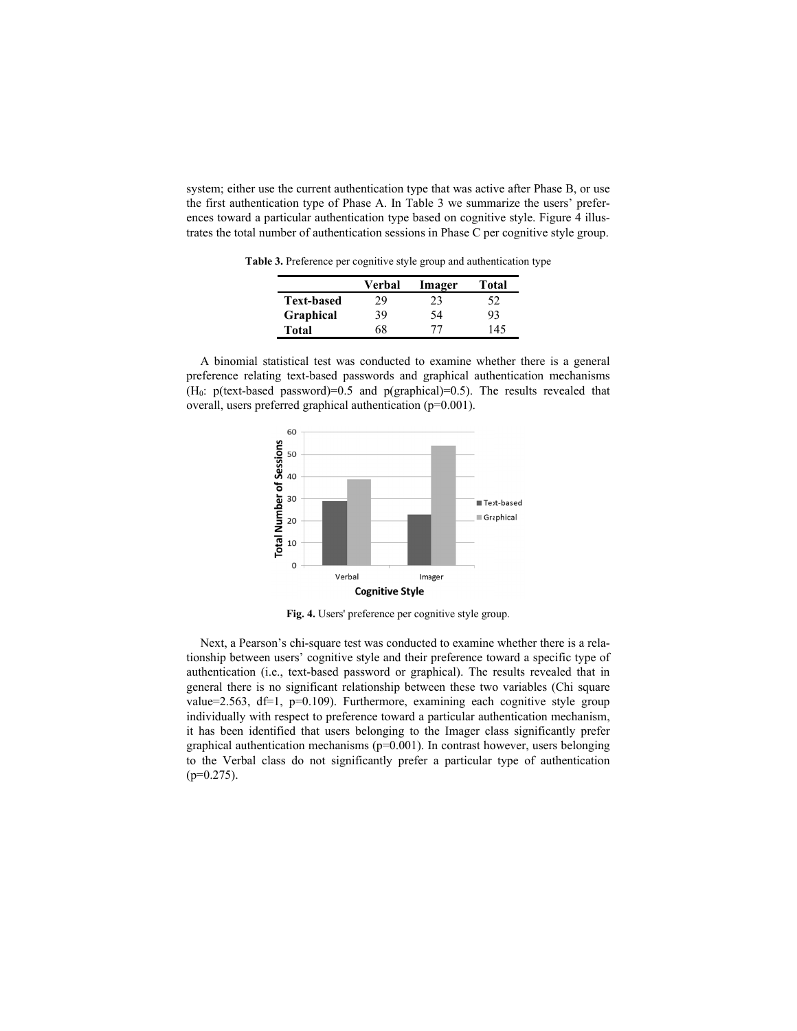system; either use the current authentication type that was active after Phase B, or use the first authentication type of Phase A. In Table 3 we summarize the users' preferences toward a particular authentication type based on cognitive style. Figure 4 illustrates the total number of authentication sessions in Phase C per cognitive style group.

Table 3. Preference per cognitive style group and authentication type

|                   | Verbal | Imager | Total |
|-------------------|--------|--------|-------|
| <b>Text-based</b> | 29     | 23     | 52    |
| <b>Graphical</b>  | 39     | 54     | 93    |
| <b>Total</b>      | 68     | 77     | 45    |

A binomial statistical test was conducted to examine whether there is a general preference relating text-based passwords and graphical authentication mechanisms  $(H<sub>0</sub>: p(text-based password)=0.5 and p(graphical)=0.5)$ . The results revealed that overall, users preferred graphical authentication  $(p=0.001)$ .



Fig. 4. Users' preference per cognitive style group.

Next, a Pearson's chi-square test was conducted to examine whether there is a relationship between users' cognitive style and their preference toward a specific type of authentication (i.e., text-based password or graphical). The results revealed that in general there is no significant relationship between these two variables (Chi square value=2.563, df=1, p=0.109). Furthermore, examining each cognitive style group individually with respect to preference toward a particular authentication mechanism, it has been identified that users belonging to the Imager class significantly prefer graphical authentication mechanisms ( $p=0.001$ ). In contrast however, users belonging to the Verbal class do not significantly prefer a particular type of authentication  $(p=0.275)$ .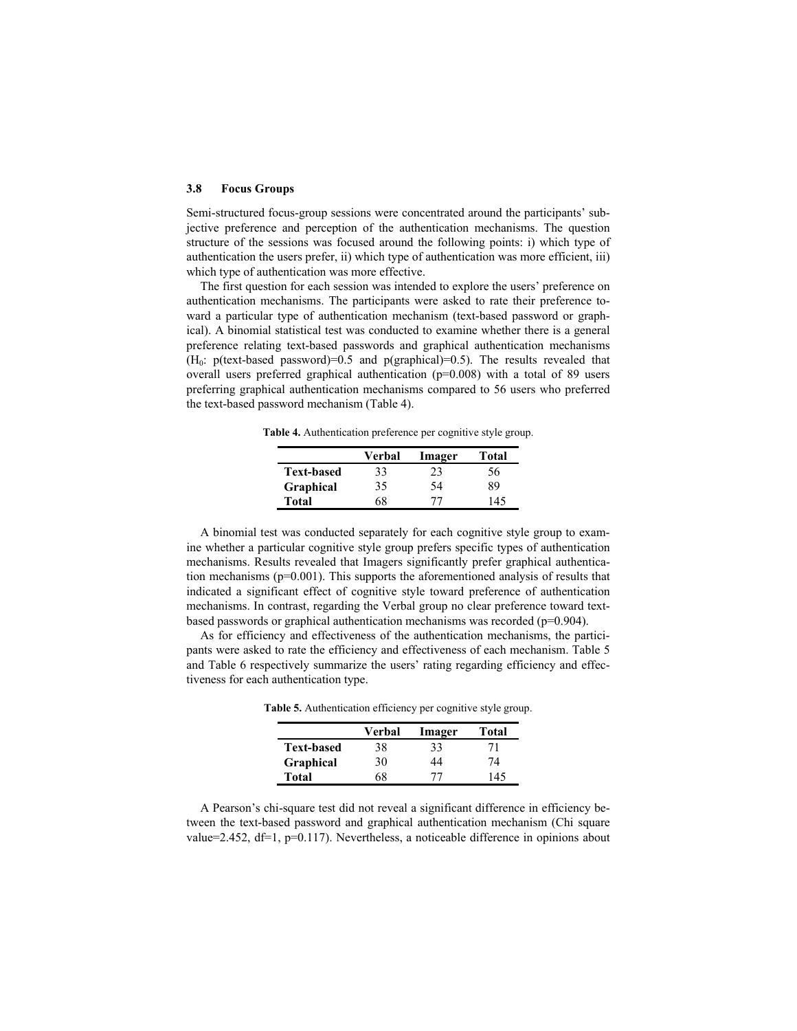#### **3.8 Focus Groups**

Semi-structured focus-group sessions were concentrated around the participants' subjective preference and perception of the authentication mechanisms. The question structure of the sessions was focused around the following points: i) which type of authentication the users prefer, ii) which type of authentication was more efficient, iii) which type of authentication was more effective.

The first question for each session was intended to explore the users' preference on authentication mechanisms. The participants were asked to rate their preference toward a particular type of authentication mechanism (text-based password or graphical). A binomial statistical test was conducted to examine whether there is a general preference relating text-based passwords and graphical authentication mechanisms  $(H<sub>0</sub>: p(text-based password)=0.5 and p(graphical)=0.5)$ . The results revealed that overall users preferred graphical authentication  $(p=0.008)$  with a total of 89 users preferring graphical authentication mechanisms compared to 56 users who preferred the text-based password mechanism (Table 4).

**Table 4.** Authentication preference per cognitive style group.

|                   | Verbal | Imager | Total |
|-------------------|--------|--------|-------|
| <b>Text-based</b> | 33     | 23     | 56    |
| Graphical         | 35     | 54     | 89    |
| Total             | 68     | 77     | 45    |

A binomial test was conducted separately for each cognitive style group to examine whether a particular cognitive style group prefers specific types of authentication mechanisms. Results revealed that Imagers significantly prefer graphical authentication mechanisms ( $p=0.001$ ). This supports the aforementioned analysis of results that indicated a significant effect of cognitive style toward preference of authentication mechanisms. In contrast, regarding the Verbal group no clear preference toward textbased passwords or graphical authentication mechanisms was recorded (p=0.904).

As for efficiency and effectiveness of the authentication mechanisms, the participants were asked to rate the efficiency and effectiveness of each mechanism. Table 5 and Table 6 respectively summarize the users' rating regarding efficiency and effectiveness for each authentication type.

**Table 5.** Authentication efficiency per cognitive style group.

|                   | Verbal | Imager | Total        |
|-------------------|--------|--------|--------------|
| <b>Text-based</b> | 38     | 33     | 71           |
| Graphical         | 30     | 44     | 74           |
| <b>Total</b>      | 68     |        | $45^{\circ}$ |

A Pearson's chi-square test did not reveal a significant difference in efficiency between the text-based password and graphical authentication mechanism (Chi square value=2.452, df=1, p=0.117). Nevertheless, a noticeable difference in opinions about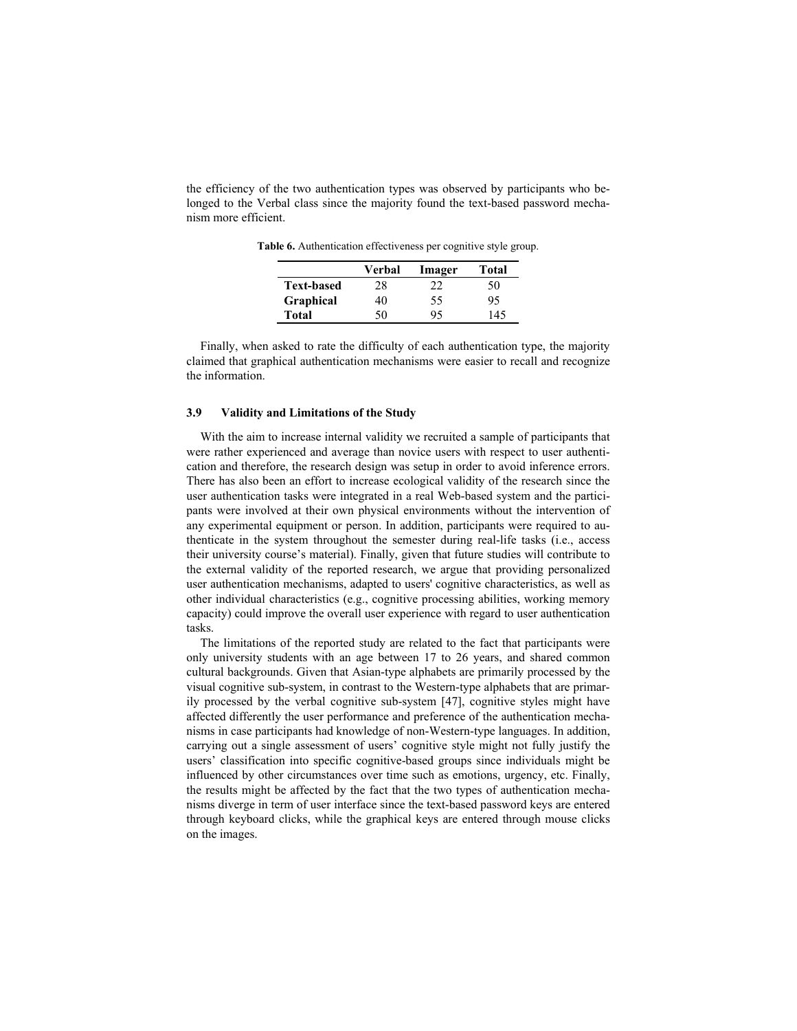the efficiency of the two authentication types was observed by participants who belonged to the Verbal class since the majority found the text-based password mechanism more efficient.

|                   | Verbal | Imager | Total |
|-------------------|--------|--------|-------|
| <b>Text-based</b> | 28     |        | 50    |
| <b>Graphical</b>  | 40     | 55     | 95    |
| Total             | 50     | 95     | 145   |

**Table 6.** Authentication effectiveness per cognitive style group.

Finally, when asked to rate the difficulty of each authentication type, the majority claimed that graphical authentication mechanisms were easier to recall and recognize the information.

#### **3.9 Validity and Limitations of the Study**

With the aim to increase internal validity we recruited a sample of participants that were rather experienced and average than novice users with respect to user authentication and therefore, the research design was setup in order to avoid inference errors. There has also been an effort to increase ecological validity of the research since the user authentication tasks were integrated in a real Web-based system and the participants were involved at their own physical environments without the intervention of any experimental equipment or person. In addition, participants were required to authenticate in the system throughout the semester during real-life tasks (i.e., access their university course's material). Finally, given that future studies will contribute to the external validity of the reported research, we argue that providing personalized user authentication mechanisms, adapted to users' cognitive characteristics, as well as other individual characteristics (e.g., cognitive processing abilities, working memory capacity) could improve the overall user experience with regard to user authentication tasks.

The limitations of the reported study are related to the fact that participants were only university students with an age between 17 to 26 years, and shared common cultural backgrounds. Given that Asian-type alphabets are primarily processed by the visual cognitive sub-system, in contrast to the Western-type alphabets that are primarily processed by the verbal cognitive sub-system [47], cognitive styles might have affected differently the user performance and preference of the authentication mechanisms in case participants had knowledge of non-Western-type languages. In addition, carrying out a single assessment of users' cognitive style might not fully justify the users' classification into specific cognitive-based groups since individuals might be influenced by other circumstances over time such as emotions, urgency, etc. Finally, the results might be affected by the fact that the two types of authentication mechanisms diverge in term of user interface since the text-based password keys are entered through keyboard clicks, while the graphical keys are entered through mouse clicks on the images.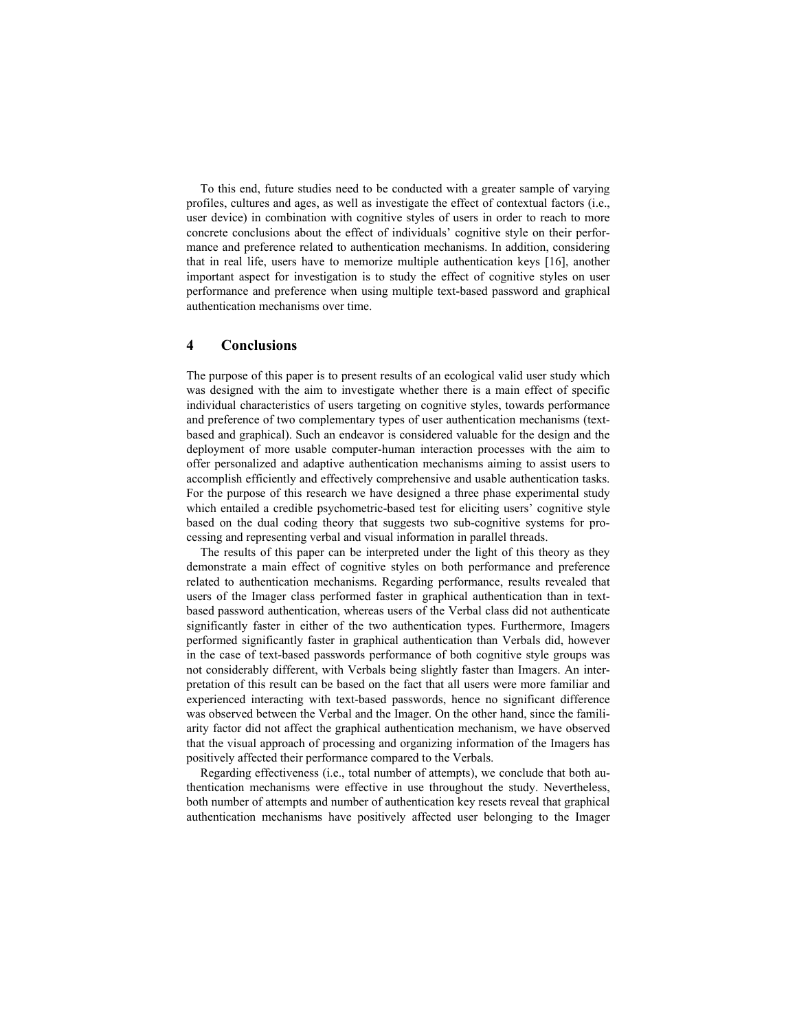To this end, future studies need to be conducted with a greater sample of varying profiles, cultures and ages, as well as investigate the effect of contextual factors (i.e., user device) in combination with cognitive styles of users in order to reach to more concrete conclusions about the effect of individuals' cognitive style on their performance and preference related to authentication mechanisms. In addition, considering that in real life, users have to memorize multiple authentication keys [16], another important aspect for investigation is to study the effect of cognitive styles on user performance and preference when using multiple text-based password and graphical authentication mechanisms over time.

# **4 Conclusions**

The purpose of this paper is to present results of an ecological valid user study which was designed with the aim to investigate whether there is a main effect of specific individual characteristics of users targeting on cognitive styles, towards performance and preference of two complementary types of user authentication mechanisms (textbased and graphical). Such an endeavor is considered valuable for the design and the deployment of more usable computer-human interaction processes with the aim to offer personalized and adaptive authentication mechanisms aiming to assist users to accomplish efficiently and effectively comprehensive and usable authentication tasks. For the purpose of this research we have designed a three phase experimental study which entailed a credible psychometric-based test for eliciting users' cognitive style based on the dual coding theory that suggests two sub-cognitive systems for processing and representing verbal and visual information in parallel threads.

The results of this paper can be interpreted under the light of this theory as they demonstrate a main effect of cognitive styles on both performance and preference related to authentication mechanisms. Regarding performance, results revealed that users of the Imager class performed faster in graphical authentication than in textbased password authentication, whereas users of the Verbal class did not authenticate significantly faster in either of the two authentication types. Furthermore, Imagers performed significantly faster in graphical authentication than Verbals did, however in the case of text-based passwords performance of both cognitive style groups was not considerably different, with Verbals being slightly faster than Imagers. An interpretation of this result can be based on the fact that all users were more familiar and experienced interacting with text-based passwords, hence no significant difference was observed between the Verbal and the Imager. On the other hand, since the familiarity factor did not affect the graphical authentication mechanism, we have observed that the visual approach of processing and organizing information of the Imagers has positively affected their performance compared to the Verbals.

Regarding effectiveness (i.e., total number of attempts), we conclude that both authentication mechanisms were effective in use throughout the study. Nevertheless, both number of attempts and number of authentication key resets reveal that graphical authentication mechanisms have positively affected user belonging to the Imager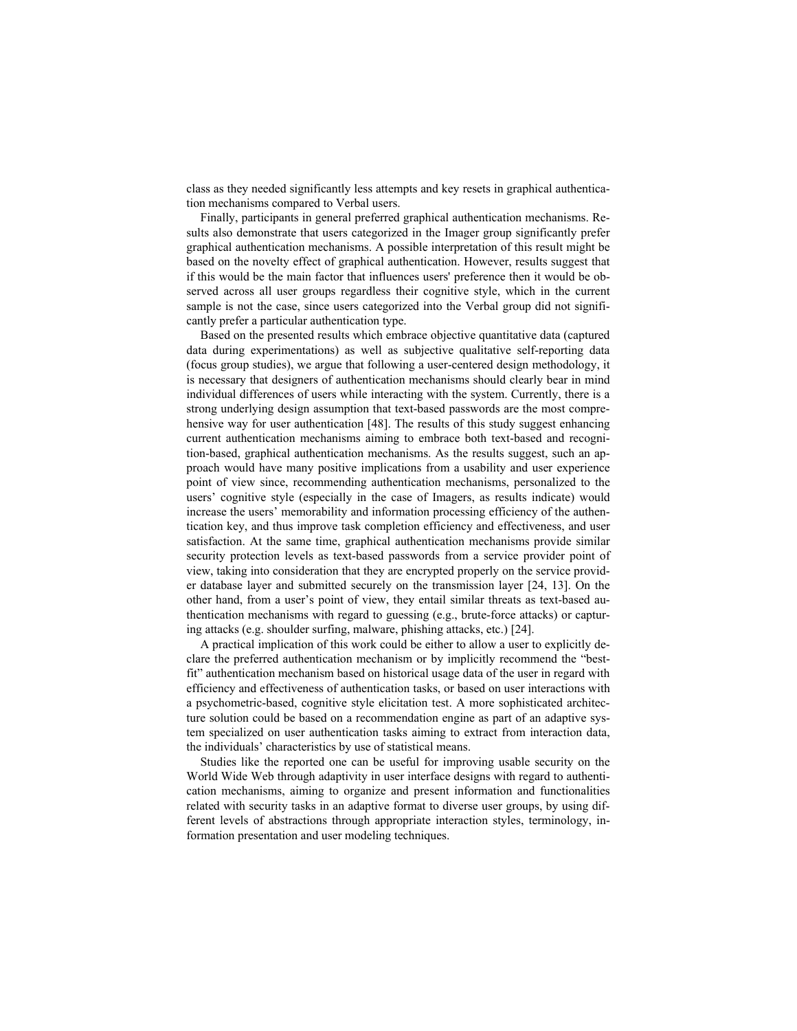class as they needed significantly less attempts and key resets in graphical authentication mechanisms compared to Verbal users.

Finally, participants in general preferred graphical authentication mechanisms. Results also demonstrate that users categorized in the Imager group significantly prefer graphical authentication mechanisms. A possible interpretation of this result might be based on the novelty effect of graphical authentication. However, results suggest that if this would be the main factor that influences users' preference then it would be observed across all user groups regardless their cognitive style, which in the current sample is not the case, since users categorized into the Verbal group did not significantly prefer a particular authentication type.

Based on the presented results which embrace objective quantitative data (captured data during experimentations) as well as subjective qualitative self-reporting data (focus group studies), we argue that following a user-centered design methodology, it is necessary that designers of authentication mechanisms should clearly bear in mind individual differences of users while interacting with the system. Currently, there is a strong underlying design assumption that text-based passwords are the most comprehensive way for user authentication [48]. The results of this study suggest enhancing current authentication mechanisms aiming to embrace both text-based and recognition-based, graphical authentication mechanisms. As the results suggest, such an approach would have many positive implications from a usability and user experience point of view since, recommending authentication mechanisms, personalized to the users' cognitive style (especially in the case of Imagers, as results indicate) would increase the users' memorability and information processing efficiency of the authentication key, and thus improve task completion efficiency and effectiveness, and user satisfaction. At the same time, graphical authentication mechanisms provide similar security protection levels as text-based passwords from a service provider point of view, taking into consideration that they are encrypted properly on the service provider database layer and submitted securely on the transmission layer [24, 13]. On the other hand, from a user's point of view, they entail similar threats as text-based authentication mechanisms with regard to guessing (e.g., brute-force attacks) or capturing attacks (e.g. shoulder surfing, malware, phishing attacks, etc.) [24].

A practical implication of this work could be either to allow a user to explicitly declare the preferred authentication mechanism or by implicitly recommend the "bestfit" authentication mechanism based on historical usage data of the user in regard with efficiency and effectiveness of authentication tasks, or based on user interactions with a psychometric-based, cognitive style elicitation test. A more sophisticated architecture solution could be based on a recommendation engine as part of an adaptive system specialized on user authentication tasks aiming to extract from interaction data, the individuals' characteristics by use of statistical means.

Studies like the reported one can be useful for improving usable security on the World Wide Web through adaptivity in user interface designs with regard to authentication mechanisms, aiming to organize and present information and functionalities related with security tasks in an adaptive format to diverse user groups, by using different levels of abstractions through appropriate interaction styles, terminology, information presentation and user modeling techniques.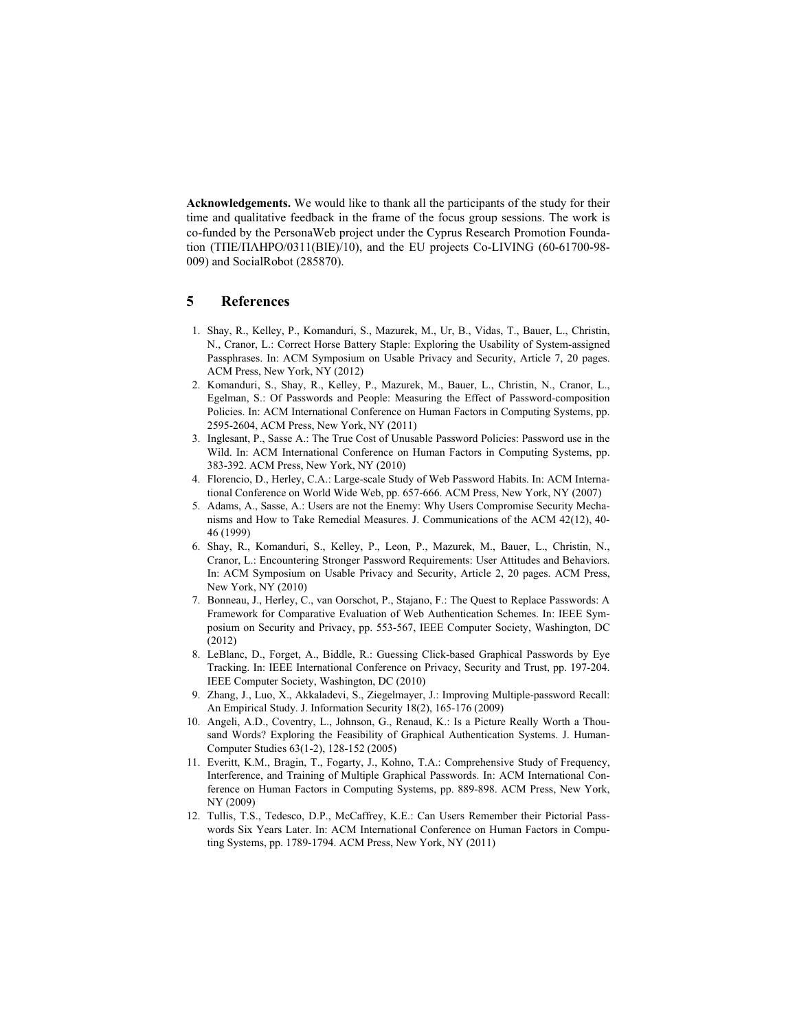**Acknowledgements.** We would like to thank all the participants of the study for their time and qualitative feedback in the frame of the focus group sessions. The work is co-funded by the PersonaWeb project under the Cyprus Research Promotion Foundation (ΤΠΕ/ΠΛΗΡΟ/0311(ΒΙΕ)/10), and the EU projects Co-LIVING (60-61700-98- 009) and SocialRobot (285870).

# **5 References**

- 1. Shay, R., Kelley, P., Komanduri, S., Mazurek, M., Ur, B., Vidas, T., Bauer, L., Christin, N., Cranor, L.: Correct Horse Battery Staple: Exploring the Usability of System-assigned Passphrases. In: ACM Symposium on Usable Privacy and Security, Article 7, 20 pages. ACM Press, New York, NY (2012)
- 2. Komanduri, S., Shay, R., Kelley, P., Mazurek, M., Bauer, L., Christin, N., Cranor, L., Egelman, S.: Of Passwords and People: Measuring the Effect of Password-composition Policies. In: ACM International Conference on Human Factors in Computing Systems, pp. 2595-2604, ACM Press, New York, NY (2011)
- 3. Inglesant, P., Sasse A.: The True Cost of Unusable Password Policies: Password use in the Wild. In: ACM International Conference on Human Factors in Computing Systems, pp. 383-392. ACM Press, New York, NY (2010)
- 4. Florencio, D., Herley, C.A.: Large-scale Study of Web Password Habits. In: ACM International Conference on World Wide Web, pp. 657-666. ACM Press, New York, NY (2007)
- 5. Adams, A., Sasse, A.: Users are not the Enemy: Why Users Compromise Security Mechanisms and How to Take Remedial Measures. J. Communications of the ACM 42(12), 40- 46 (1999)
- 6. Shay, R., Komanduri, S., Kelley, P., Leon, P., Mazurek, M., Bauer, L., Christin, N., Cranor, L.: Encountering Stronger Password Requirements: User Attitudes and Behaviors. In: ACM Symposium on Usable Privacy and Security, Article 2, 20 pages. ACM Press, New York, NY (2010)
- 7. Bonneau, J., Herley, C., van Oorschot, P., Stajano, F.: The Quest to Replace Passwords: A Framework for Comparative Evaluation of Web Authentication Schemes. In: IEEE Symposium on Security and Privacy, pp. 553-567, IEEE Computer Society, Washington, DC (2012)
- 8. LeBlanc, D., Forget, A., Biddle, R.: Guessing Click-based Graphical Passwords by Eye Tracking. In: IEEE International Conference on Privacy, Security and Trust, pp. 197-204. IEEE Computer Society, Washington, DC (2010)
- 9. Zhang, J., Luo, X., Akkaladevi, S., Ziegelmayer, J.: Improving Multiple-password Recall: An Empirical Study. J. Information Security 18(2), 165-176 (2009)
- 10. Angeli, A.D., Coventry, L., Johnson, G., Renaud, K.: Is a Picture Really Worth a Thousand Words? Exploring the Feasibility of Graphical Authentication Systems. J. Human-Computer Studies 63(1-2), 128-152 (2005)
- 11. Everitt, K.M., Bragin, T., Fogarty, J., Kohno, T.A.: Comprehensive Study of Frequency, Interference, and Training of Multiple Graphical Passwords. In: ACM International Conference on Human Factors in Computing Systems, pp. 889-898. ACM Press, New York, NY (2009)
- 12. Tullis, T.S., Tedesco, D.P., McCaffrey, K.E.: Can Users Remember their Pictorial Passwords Six Years Later. In: ACM International Conference on Human Factors in Computing Systems, pp. 1789-1794. ACM Press, New York, NY (2011)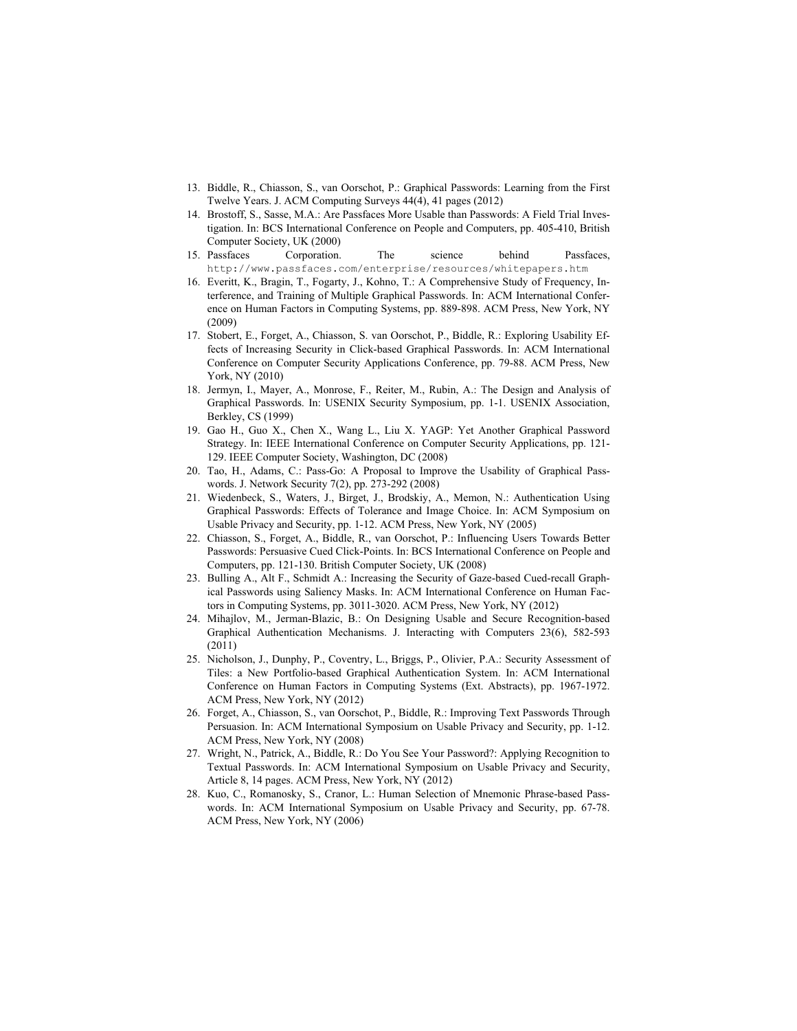- 13. Biddle, R., Chiasson, S., van Oorschot, P.: Graphical Passwords: Learning from the First Twelve Years. J. ACM Computing Surveys 44(4), 41 pages (2012)
- 14. Brostoff, S., Sasse, M.A.: Are Passfaces More Usable than Passwords: A Field Trial Investigation. In: BCS International Conference on People and Computers, pp. 405-410, British Computer Society, UK (2000)
- 15. Passfaces Corporation. The science behind Passfaces, http://www.passfaces.com/enterprise/resources/whitepapers.htm
- 16. Everitt, K., Bragin, T., Fogarty, J., Kohno, T.: A Comprehensive Study of Frequency, Interference, and Training of Multiple Graphical Passwords. In: ACM International Conference on Human Factors in Computing Systems, pp. 889-898. ACM Press, New York, NY (2009)
- 17. Stobert, E., Forget, A., Chiasson, S. van Oorschot, P., Biddle, R.: Exploring Usability Effects of Increasing Security in Click-based Graphical Passwords. In: ACM International Conference on Computer Security Applications Conference, pp. 79-88. ACM Press, New York, NY (2010)
- 18. Jermyn, I., Mayer, A., Monrose, F., Reiter, M., Rubin, A.: The Design and Analysis of Graphical Passwords. In: USENIX Security Symposium, pp. 1-1. USENIX Association, Berkley, CS (1999)
- 19. Gao H., Guo X., Chen X., Wang L., Liu X. YAGP: Yet Another Graphical Password Strategy. In: IEEE International Conference on Computer Security Applications, pp. 121- 129. IEEE Computer Society, Washington, DC (2008)
- 20. Tao, H., Adams, C.: Pass-Go: A Proposal to Improve the Usability of Graphical Passwords. J. Network Security 7(2), pp. 273-292 (2008)
- 21. Wiedenbeck, S., Waters, J., Birget, J., Brodskiy, A., Memon, N.: Authentication Using Graphical Passwords: Effects of Tolerance and Image Choice. In: ACM Symposium on Usable Privacy and Security, pp. 1-12. ACM Press, New York, NY (2005)
- 22. Chiasson, S., Forget, A., Biddle, R., van Oorschot, P.: Influencing Users Towards Better Passwords: Persuasive Cued Click-Points. In: BCS International Conference on People and Computers, pp. 121-130. British Computer Society, UK (2008)
- 23. Bulling A., Alt F., Schmidt A.: Increasing the Security of Gaze-based Cued-recall Graphical Passwords using Saliency Masks. In: ACM International Conference on Human Factors in Computing Systems, pp. 3011-3020. ACM Press, New York, NY (2012)
- 24. Mihajlov, M., Jerman-Blazic, B.: On Designing Usable and Secure Recognition-based Graphical Authentication Mechanisms. J. Interacting with Computers 23(6), 582-593 (2011)
- 25. Nicholson, J., Dunphy, P., Coventry, L., Briggs, P., Olivier, P.A.: Security Assessment of Tiles: a New Portfolio-based Graphical Authentication System. In: ACM International Conference on Human Factors in Computing Systems (Ext. Abstracts), pp. 1967-1972. ACM Press, New York, NY (2012)
- 26. Forget, A., Chiasson, S., van Oorschot, P., Biddle, R.: Improving Text Passwords Through Persuasion. In: ACM International Symposium on Usable Privacy and Security, pp. 1-12. ACM Press, New York, NY (2008)
- 27. Wright, N., Patrick, A., Biddle, R.: Do You See Your Password?: Applying Recognition to Textual Passwords. In: ACM International Symposium on Usable Privacy and Security, Article 8, 14 pages. ACM Press, New York, NY (2012)
- 28. Kuo, C., Romanosky, S., Cranor, L.: Human Selection of Mnemonic Phrase-based Passwords. In: ACM International Symposium on Usable Privacy and Security, pp. 67-78. ACM Press, New York, NY (2006)